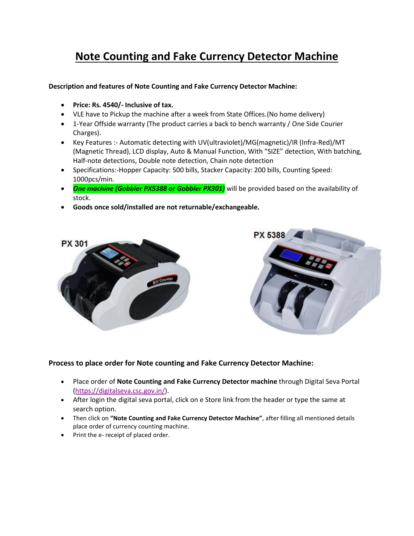## **Note Counting and Fake Currency Detector Machine**

**Description and features of Note Counting and Fake Currency Detector Machine:** 

- **Price: Rs. 4540/- Inclusive of tax.**
- VLE have to Pickup the machine after a week from State Offices.(No home delivery)
- 1-Year Offside warranty (The product carries a back to bench warranty / One Side Courier Charges).
- Key Features :- Automatic detecting with UV(ultraviolet)/MG(magnetic)/IR (Infra-Red)/MT (Magnetic Thread), LCD display, Auto & Manual Function, With "SIZE" detection, With batching, Half-note detections, Double note detection, Chain note detection
- Specifications:-Hopper Capacity: 500 bills, Stacker Capacity: 200 bills, Counting Speed: 1000pcs/min.
- **One machine (Gobbler PX5388 or Gobbler PX301)** will be provided based on the availability of stock.
- **Goods once sold/installed are not returnable/exchangeable.**





## **Process to place order for Note counting and Fake Currency Detector Machine:**

- Place order of **Note Counting and Fake Currency Detector machine** through Digital Seva Portal [\(https://digitalseva.csc.gov.in/\)](https://digitalseva.csc.gov.in/).
- After login the digital seva portal, click on e Store link from the header or type the same at search option.
- Then click on **"Note Counting and Fake Currency Detector Machine"**, after filling all mentioned details place order of currency counting machine.
- Print the e- receipt of placed order.